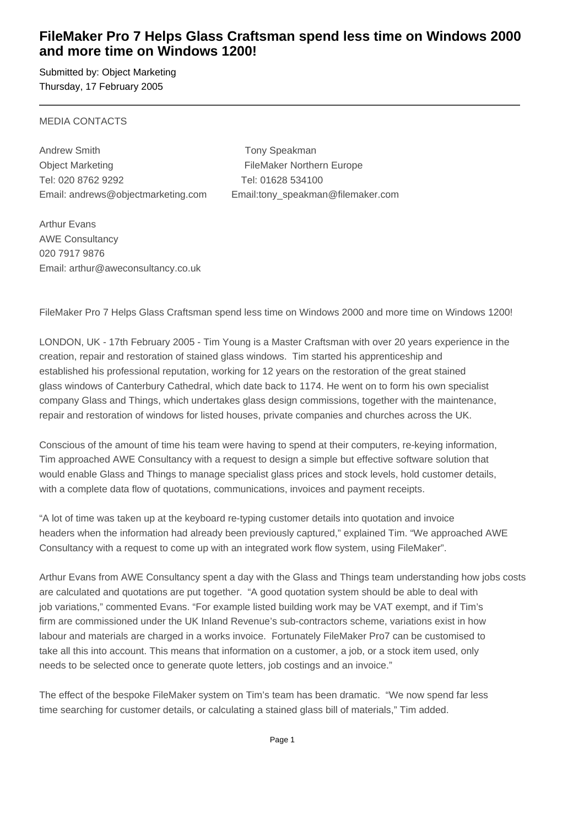## **FileMaker Pro 7 Helps Glass Craftsman spend less time on Windows 2000 and more time on Windows 1200!**

Submitted by: Object Marketing Thursday, 17 February 2005

### MEDIA CONTACTS

Andrew Smith Tony Speakman Object Marketing **FileMaker Northern Europe** Tel: 020 8762 9292 Tel: 01628 534100

Email: andrews@objectmarketing.com Email:tony\_speakman@filemaker.com

Arthur Evans AWE Consultancy 020 7917 9876 Email: arthur@aweconsultancy.co.uk

FileMaker Pro 7 Helps Glass Craftsman spend less time on Windows 2000 and more time on Windows 1200!

LONDON, UK - 17th February 2005 - Tim Young is a Master Craftsman with over 20 years experience in the creation, repair and restoration of stained glass windows. Tim started his apprenticeship and established his professional reputation, working for 12 years on the restoration of the great stained glass windows of Canterbury Cathedral, which date back to 1174. He went on to form his own specialist company Glass and Things, which undertakes glass design commissions, together with the maintenance, repair and restoration of windows for listed houses, private companies and churches across the UK.

Conscious of the amount of time his team were having to spend at their computers, re-keying information, Tim approached AWE Consultancy with a request to design a simple but effective software solution that would enable Glass and Things to manage specialist glass prices and stock levels, hold customer details, with a complete data flow of quotations, communications, invoices and payment receipts.

"A lot of time was taken up at the keyboard re-typing customer details into quotation and invoice headers when the information had already been previously captured," explained Tim. "We approached AWE Consultancy with a request to come up with an integrated work flow system, using FileMaker".

Arthur Evans from AWE Consultancy spent a day with the Glass and Things team understanding how jobs costs are calculated and quotations are put together. "A good quotation system should be able to deal with job variations," commented Evans. "For example listed building work may be VAT exempt, and if Tim's firm are commissioned under the UK Inland Revenue's sub-contractors scheme, variations exist in how labour and materials are charged in a works invoice. Fortunately FileMaker Pro7 can be customised to take all this into account. This means that information on a customer, a job, or a stock item used, only needs to be selected once to generate quote letters, job costings and an invoice."

The effect of the bespoke FileMaker system on Tim's team has been dramatic. "We now spend far less time searching for customer details, or calculating a stained glass bill of materials," Tim added.